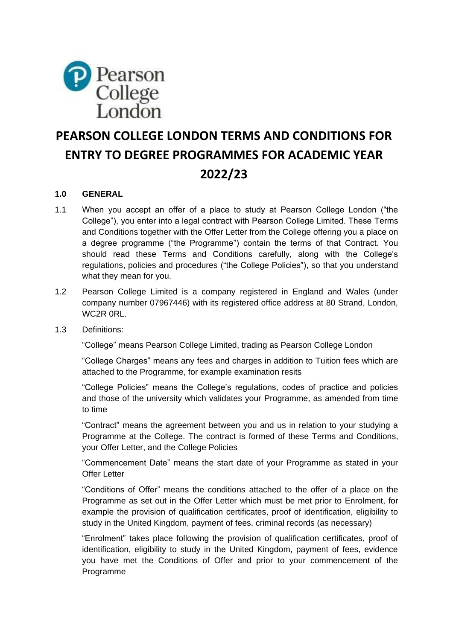

# **PEARSON COLLEGE LONDON TERMS AND CONDITIONS FOR ENTRY TO DEGREE PROGRAMMES FOR ACADEMIC YEAR 2022/23**

# **1.0 GENERAL**

- 1.1 When you accept an offer of a place to study at Pearson College London ("the College"), you enter into a legal contract with Pearson College Limited. These Terms and Conditions together with the Offer Letter from the College offering you a place on a degree programme ("the Programme") contain the terms of that Contract. You should read these Terms and Conditions carefully, along with the College's regulations, policies and procedures ("the College Policies"), so that you understand what they mean for you.
- 1.2 Pearson College Limited is a company registered in England and Wales (under company number 07967446) with its registered office address at 80 Strand, London, WC2R 0RL.
- 1.3 Definitions:

"College" means Pearson College Limited, trading as Pearson College London

"College Charges" means any fees and charges in addition to Tuition fees which are attached to the Programme, for example examination resits

"College Policies" means the College's regulations, codes of practice and policies and those of the university which validates your Programme, as amended from time to time

"Contract" means the agreement between you and us in relation to your studying a Programme at the College. The contract is formed of these Terms and Conditions, your Offer Letter, and the College Policies

"Commencement Date" means the start date of your Programme as stated in your Offer Letter

"Conditions of Offer" means the conditions attached to the offer of a place on the Programme as set out in the Offer Letter which must be met prior to Enrolment, for example the provision of qualification certificates, proof of identification, eligibility to study in the United Kingdom, payment of fees, criminal records (as necessary)

"Enrolment" takes place following the provision of qualification certificates, proof of identification, eligibility to study in the United Kingdom, payment of fees, evidence you have met the Conditions of Offer and prior to your commencement of the Programme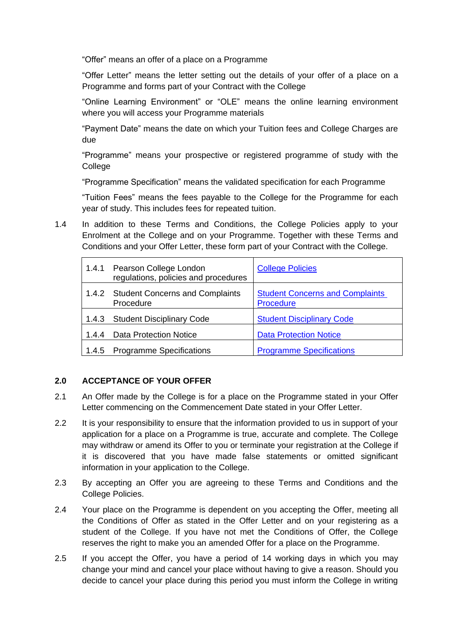"Offer" means an offer of a place on a Programme

"Offer Letter" means the letter setting out the details of your offer of a place on a Programme and forms part of your Contract with the College

"Online Learning Environment" or "OLE" means the online learning environment where you will access your Programme materials

"Payment Date" means the date on which your Tuition fees and College Charges are due

"Programme" means your prospective or registered programme of study with the College

"Programme Specification" means the validated specification for each Programme

"Tuition Fees" means the fees payable to the College for the Programme for each year of study. This includes fees for repeated tuition.

1.4 In addition to these Terms and Conditions, the College Policies apply to your Enrolment at the College and on your Programme. Together with these Terms and Conditions and your Offer Letter, these form part of your Contract with the College.

|       | 1.4.1 Pearson College London<br>regulations, policies and procedures | <b>College Policies</b>                                    |
|-------|----------------------------------------------------------------------|------------------------------------------------------------|
|       | 1.4.2 Student Concerns and Complaints<br>Procedure                   | <b>Student Concerns and Complaints</b><br><b>Procedure</b> |
|       | 1.4.3 Student Disciplinary Code                                      | <b>Student Disciplinary Code</b>                           |
| 1.4.4 | <b>Data Protection Notice</b>                                        | <b>Data Protection Notice</b>                              |
| 1.4.5 | <b>Programme Specifications</b>                                      | <b>Programme Specifications</b>                            |

# **2.0 ACCEPTANCE OF YOUR OFFER**

- 2.1 An Offer made by the College is for a place on the Programme stated in your Offer Letter commencing on the Commencement Date stated in your Offer Letter.
- 2.2 It is your responsibility to ensure that the information provided to us in support of your application for a place on a Programme is true, accurate and complete. The College may withdraw or amend its Offer to you or terminate your registration at the College if it is discovered that you have made false statements or omitted significant information in your application to the College.
- 2.3 By accepting an Offer you are agreeing to these Terms and Conditions and the College Policies.
- 2.4 Your place on the Programme is dependent on you accepting the Offer, meeting all the Conditions of Offer as stated in the Offer Letter and on your registering as a student of the College. If you have not met the Conditions of Offer, the College reserves the right to make you an amended Offer for a place on the Programme.
- 2.5 If you accept the Offer, you have a period of 14 working days in which you may change your mind and cancel your place without having to give a reason. Should you decide to cancel your place during this period you must inform the College in writing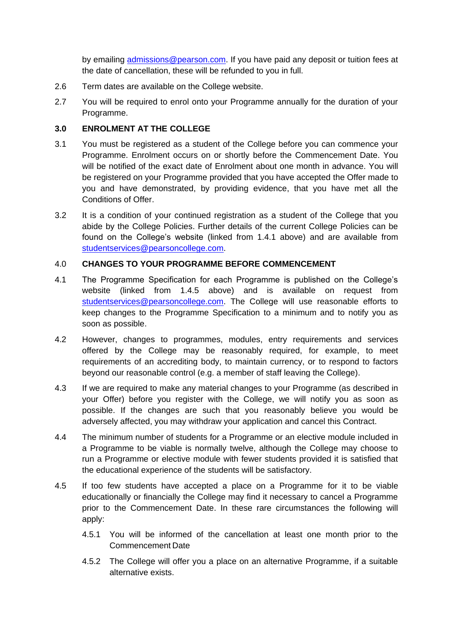by emailing [admissions@pearson.com.](mailto:admissions@pearson.com) If you have paid any deposit or tuition fees at the date of cancellation, these will be refunded to you in full.

- 2.6 Term dates are available on the College website.
- 2.7 You will be required to enrol onto your Programme annually for the duration of your Programme.

## **3.0 ENROLMENT AT THE COLLEGE**

- 3.1 You must be registered as a student of the College before you can commence your Programme. Enrolment occurs on or shortly before the Commencement Date. You will be notified of the exact date of Enrolment about one month in advance. You will be registered on your Programme provided that you have accepted the Offer made to you and have demonstrated, by providing evidence, that you have met all the Conditions of Offer.
- 3.2 It is a condition of your continued registration as a student of the College that you abide by the College Policies. Further details of the current College Policies can be found on the College's website (linked from 1.4.1 above) and are available from [studentservices@pearsoncollege.com.](mailto:studentservices@pearsoncollege.com)

### 4.0 **CHANGES TO YOUR PROGRAMME BEFORE COMMENCEMENT**

- 4.1 The Programme Specification for each Programme is published on the College's website (linked from 1.4.5 above) and is available on request from [studentservices@pearsoncollege.com.](mailto:studentservices@pearsoncollege.com) The College will use reasonable efforts to keep changes to the Programme Specification to a minimum and to notify you as soon as possible.
- 4.2 However, changes to programmes, modules, entry requirements and services offered by the College may be reasonably required, for example, to meet requirements of an accrediting body, to maintain currency, or to respond to factors beyond our reasonable control (e.g. a member of staff leaving the College).
- 4.3 If we are required to make any material changes to your Programme (as described in your Offer) before you register with the College, we will notify you as soon as possible. If the changes are such that you reasonably believe you would be adversely affected, you may withdraw your application and cancel this Contract.
- 4.4 The minimum number of students for a Programme or an elective module included in a Programme to be viable is normally twelve, although the College may choose to run a Programme or elective module with fewer students provided it is satisfied that the educational experience of the students will be satisfactory.
- 4.5 If too few students have accepted a place on a Programme for it to be viable educationally or financially the College may find it necessary to cancel a Programme prior to the Commencement Date. In these rare circumstances the following will apply:
	- 4.5.1 You will be informed of the cancellation at least one month prior to the Commencement Date
	- 4.5.2 The College will offer you a place on an alternative Programme, if a suitable alternative exists.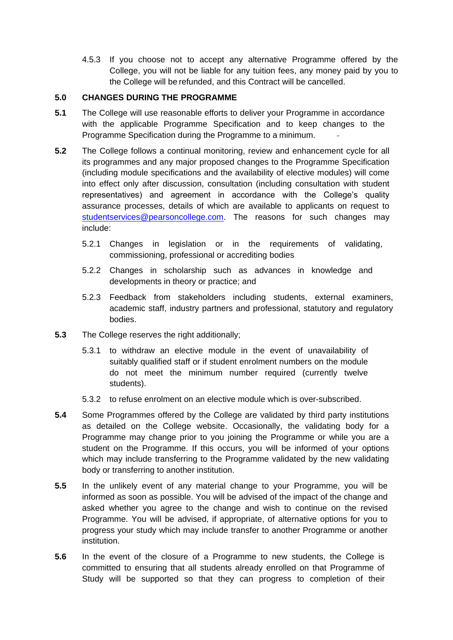4.5.3 If you choose not to accept any alternative Programme offered by the College, you will not be liable for any tuition fees, any money paid by you to the College will be refunded, and this Contract will be cancelled.

### **5.0 CHANGES DURING THE PROGRAMME**

- **5.1** The College will use reasonable efforts to deliver your Programme in accordance with the applicable Programme Specification and to keep changes to the Programme Specification during the Programme to a minimum.
- **5.2** The College follows a continual monitoring, review and enhancement cycle for all its programmes and any major proposed changes to the Programme Specification (including module specifications and the availability of elective modules) will come into effect only after discussion, consultation (including consultation with student representatives) and agreement in accordance with the College's quality assurance processes, details of which are available to applicants on request to [studentservices@pearsoncollege.com.](mailto:studentservices@pearsoncollege.com) The reasons for such changes may include:
	- 5.2.1 Changes in legislation or in the requirements of validating, commissioning, professional or accrediting bodies
	- 5.2.2 Changes in scholarship such as advances in knowledge and developments in theory or practice; and
	- 5.2.3 Feedback from stakeholders including students, external examiners, academic staff, industry partners and professional, statutory and regulatory bodies.
- **5.3** The College reserves the right additionally;
	- 5.3.1 to withdraw an elective module in the event of unavailability of suitably qualified staff or if student enrolment numbers on the module do not meet the minimum number required (currently twelve students).
	- 5.3.2 to refuse enrolment on an elective module which is over-subscribed.
- **5.4** Some Programmes offered by the College are validated by third party institutions as detailed on the College website. Occasionally, the validating body for a Programme may change prior to you joining the Programme or while you are a student on the Programme. If this occurs, you will be informed of your options which may include transferring to the Programme validated by the new validating body or transferring to another institution.
- **5.5** In the unlikely event of any material change to your Programme, you will be informed as soon as possible. You will be advised of the impact of the change and asked whether you agree to the change and wish to continue on the revised Programme. You will be advised, if appropriate, of alternative options for you to progress your study which may include transfer to another Programme or another institution.
- **5.6** In the event of the closure of a Programme to new students, the College is committed to ensuring that all students already enrolled on that Programme of Study will be supported so that they can progress to completion of their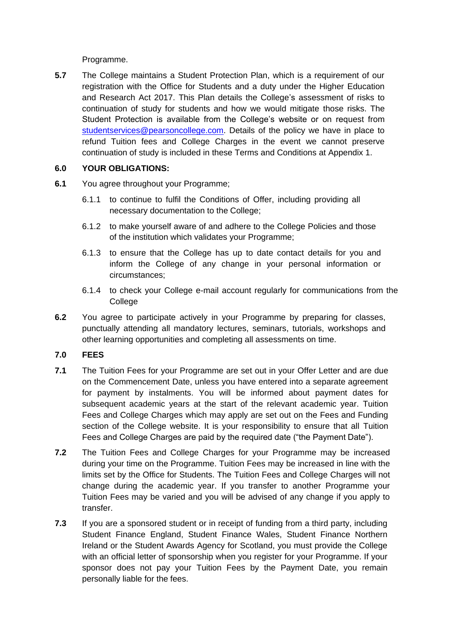Programme.

**5.7** The College maintains a Student Protection Plan, which is a requirement of our registration with the Office for Students and a duty under the Higher Education and Research Act 2017. This Plan details the College's assessment of risks to continuation of study for students and how we would mitigate those risks. The Student Protection is available from the College's website or on request from [studentservices@pearsoncollege.com.](mailto:studentservices@pearsoncollege.com) Details of the policy we have in place to refund Tuition fees and College Charges in the event we cannot preserve continuation of study is included in these Terms and Conditions at Appendix 1.

### **6.0 YOUR OBLIGATIONS:**

- **6.1** You agree throughout your Programme;
	- 6.1.1 to continue to fulfil the Conditions of Offer, including providing all necessary documentation to the College;
	- 6.1.2 to make yourself aware of and adhere to the College Policies and those of the institution which validates your Programme;
	- 6.1.3 to ensure that the College has up to date contact details for you and inform the College of any change in your personal information or circumstances;
	- 6.1.4 to check your College e-mail account regularly for communications from the **College**
- **6.2** You agree to participate actively in your Programme by preparing for classes, punctually attending all mandatory lectures, seminars, tutorials, workshops and other learning opportunities and completing all assessments on time.

#### **7.0 FEES**

- **7.1** The Tuition Fees for your Programme are set out in your Offer Letter and are due on the Commencement Date, unless you have entered into a separate agreement for payment by instalments. You will be informed about payment dates for subsequent academic years at the start of the relevant academic year. Tuition Fees and College Charges which may apply are set out on the Fees and Funding section of the College website. It is your responsibility to ensure that all Tuition Fees and College Charges are paid by the required date ("the Payment Date").
- **7.2** The Tuition Fees and College Charges for your Programme may be increased during your time on the Programme. Tuition Fees may be increased in line with the limits set by the Office for Students. The Tuition Fees and College Charges will not change during the academic year. If you transfer to another Programme your Tuition Fees may be varied and you will be advised of any change if you apply to transfer.
- **7.3** If you are a sponsored student or in receipt of funding from a third party, including Student Finance England, Student Finance Wales, Student Finance Northern Ireland or the Student Awards Agency for Scotland, you must provide the College with an official letter of sponsorship when you register for your Programme. If your sponsor does not pay your Tuition Fees by the Payment Date, you remain personally liable for the fees.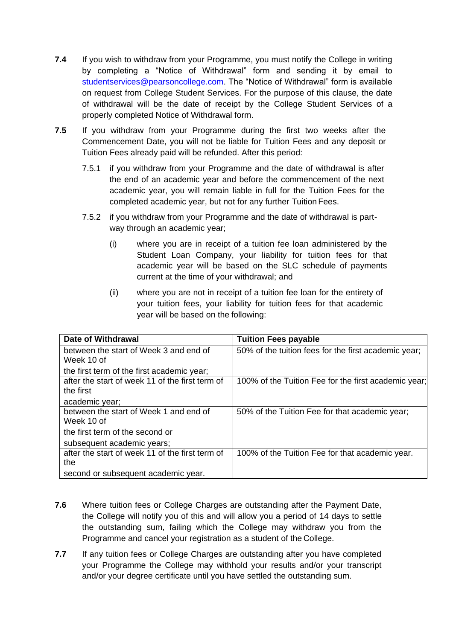- **7.4** If you wish to withdraw from your Programme, you must notify the College in writing by completing a "Notice of Withdrawal" form and sending it by email to [studentservices@pearsoncollege.com.](mailto:registry@pearsoncollege.com) The "Notice of Withdrawal" form is available on request from College Student Services. For the purpose of this clause, the date of withdrawal will be the date of receipt by the College Student Services of a properly completed Notice of Withdrawal form.
- **7.5** If you withdraw from your Programme during the first two weeks after the Commencement Date, you will not be liable for Tuition Fees and any deposit or Tuition Fees already paid will be refunded. After this period:
	- 7.5.1 if you withdraw from your Programme and the date of withdrawal is after the end of an academic year and before the commencement of the next academic year, you will remain liable in full for the Tuition Fees for the completed academic year, but not for any further Tuition Fees.
	- 7.5.2 if you withdraw from your Programme and the date of withdrawal is partway through an academic year;
		- (i) where you are in receipt of a tuition fee loan administered by the Student Loan Company, your liability for tuition fees for that academic year will be based on the SLC schedule of payments current at the time of your withdrawal; and
		- (ii) where you are not in receipt of a tuition fee loan for the entirety of your tuition fees, your liability for tuition fees for that academic year will be based on the following:

| <b>Date of Withdrawal</b>                       | <b>Tuition Fees payable</b>                          |
|-------------------------------------------------|------------------------------------------------------|
| between the start of Week 3 and end of          | 50% of the tuition fees for the first academic year; |
| Week 10 of                                      |                                                      |
| the first term of the first academic year;      |                                                      |
| after the start of week 11 of the first term of | 100% of the Tuition Fee for the first academic year; |
| the first                                       |                                                      |
| academic year;                                  |                                                      |
| between the start of Week 1 and end of          | 50% of the Tuition Fee for that academic year;       |
| Week 10 of                                      |                                                      |
| the first term of the second or                 |                                                      |
| subsequent academic years;                      |                                                      |
| after the start of week 11 of the first term of | 100% of the Tuition Fee for that academic year.      |
| the                                             |                                                      |
| second or subsequent academic year.             |                                                      |

- **7.6** Where tuition fees or College Charges are outstanding after the Payment Date, the College will notify you of this and will allow you a period of 14 days to settle the outstanding sum, failing which the College may withdraw you from the Programme and cancel your registration as a student of the College.
- **7.7** If any tuition fees or College Charges are outstanding after you have completed your Programme the College may withhold your results and/or your transcript and/or your degree certificate until you have settled the outstanding sum.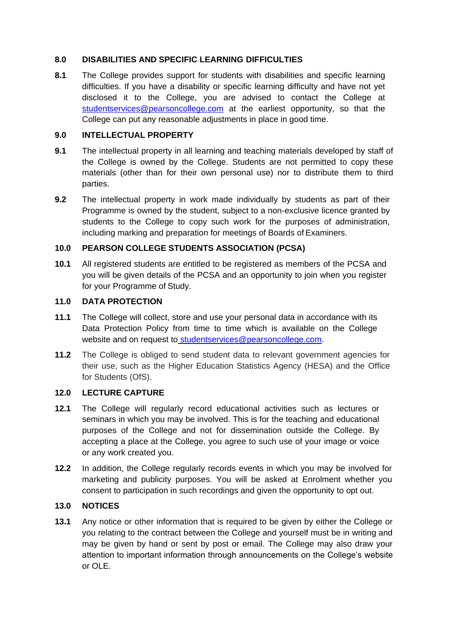### **8.0 DISABILITIES AND SPECIFIC LEARNING DIFFICULTIES**

**8.1** The College provides support for students with disabilities and specific learning difficulties. If you have a disability or specific learning difficulty and have not yet disclosed it to the College, you are advised to contact the College at [studentservices@pearsoncollege.com](mailto:studentservices@pearsoncollege.com) at the earliest opportunity, so that the College can put any reasonable adjustments in place in good time.

### **9.0 INTELLECTUAL PROPERTY**

- **9.1** The intellectual property in all learning and teaching materials developed by staff of the College is owned by the College. Students are not permitted to copy these materials (other than for their own personal use) nor to distribute them to third parties.
- **9.2** The intellectual property in work made individually by students as part of their Programme is owned by the student, subject to a non-exclusive licence granted by students to the College to copy such work for the purposes of administration, including marking and preparation for meetings of Boards of Examiners.

# **10.0 PEARSON COLLEGE STUDENTS ASSOCIATION (PCSA)**

**10.1** All registered students are entitled to be registered as members of the PCSA and you will be given details of the PCSA and an opportunity to join when you register for your Programme of Study.

#### **11.0 DATA PROTECTION**

- **11.1** The College will collect, store and use your personal data in accordance with its Data Protection Policy from time to time which is available on the College website and on request to [studentservices@pearsoncollege.com.](mailto:studentservices@pearsoncollege.com)
- **11.2** The College is obliged to send student data to relevant government agencies for their use, such as the Higher Education Statistics Agency (HESA) and the Office for Students (OfS).

# **12.0 LECTURE CAPTURE**

- **12.1** The College will regularly record educational activities such as lectures or seminars in which you may be involved. This is for the teaching and educational purposes of the College and not for dissemination outside the College. By accepting a place at the College, you agree to such use of your image or voice or any work created you.
- **12.2** In addition, the College regularly records events in which you may be involved for marketing and publicity purposes. You will be asked at Enrolment whether you consent to participation in such recordings and given the opportunity to opt out.

# **13.0 NOTICES**

**13.1** Any notice or other information that is required to be given by either the College or you relating to the contract between the College and yourself must be in writing and may be given by hand or sent by post or email. The College may also draw your attention to important information through announcements on the College's website or OLE.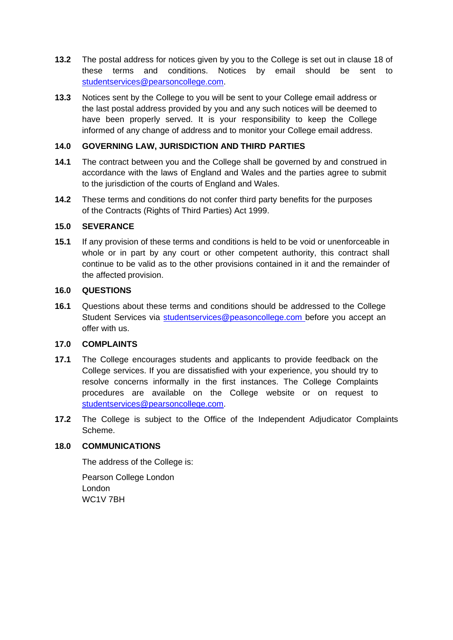- **13.2** The postal address for notices given by you to the College is set out in clause 18 of these terms and conditions. Notices by email should be sent to [studentservices@pearsoncollege.com.](mailto:studentservices@pearsoncollege.com)
- **13.3** Notices sent by the College to you will be sent to your College email address or the last postal address provided by you and any such notices will be deemed to have been properly served. It is your responsibility to keep the College informed of any change of address and to monitor your College email address.

## **14.0 GOVERNING LAW, JURISDICTION AND THIRD PARTIES**

- **14.1** The contract between you and the College shall be governed by and construed in accordance with the laws of England and Wales and the parties agree to submit to the jurisdiction of the courts of England and Wales.
- **14.2** These terms and conditions do not confer third party benefits for the purposes of the Contracts (Rights of Third Parties) Act 1999.

#### **15.0 SEVERANCE**

**15.1** If any provision of these terms and conditions is held to be void or unenforceable in whole or in part by any court or other competent authority, this contract shall continue to be valid as to the other provisions contained in it and the remainder of the affected provision.

#### **16.0 QUESTIONS**

**16.1** Questions about these terms and conditions should be addressed to the College Student Services via [studentservices@peasoncollege.com](mailto:studentservices@peasoncollege.com) before you accept an offer with us.

#### **17.0 COMPLAINTS**

- **17.1** The College encourages students and applicants to provide feedback on the College services. If you are dissatisfied with your experience, you should try to resolve concerns informally in the first instances. The College Complaints procedures are available on the College website or on request to [studentservices@pearsoncollege.com.](mailto:studentservices@pearsoncollege.com)
- **17.2** The College is subject to the Office of the Independent Adjudicator Complaints Scheme.

#### **18.0 COMMUNICATIONS**

The address of the College is:

Pearson College London London WC1V 7BH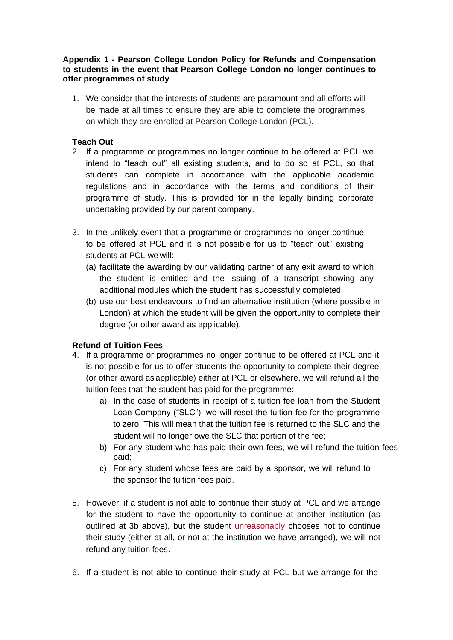#### **Appendix 1 - Pearson College London Policy for Refunds and Compensation to students in the event that Pearson College London no longer continues to offer programmes of study**

1. We consider that the interests of students are paramount and all efforts will be made at all times to ensure they are able to complete the programmes on which they are enrolled at Pearson College London (PCL).

## **Teach Out**

- 2. If a programme or programmes no longer continue to be offered at PCL we intend to "teach out" all existing students, and to do so at PCL, so that students can complete in accordance with the applicable academic regulations and in accordance with the terms and conditions of their programme of study. This is provided for in the legally binding corporate undertaking provided by our parent company.
- 3. In the unlikely event that a programme or programmes no longer continue to be offered at PCL and it is not possible for us to "teach out" existing students at PCL we will:
	- (a) facilitate the awarding by our validating partner of any exit award to which the student is entitled and the issuing of a transcript showing any additional modules which the student has successfully completed.
	- (b) use our best endeavours to find an alternative institution (where possible in London) at which the student will be given the opportunity to complete their degree (or other award as applicable).

# **Refund of Tuition Fees**

- 4. If a programme or programmes no longer continue to be offered at PCL and it is not possible for us to offer students the opportunity to complete their degree (or other award as applicable) either at PCL or elsewhere, we will refund all the tuition fees that the student has paid for the programme:
	- a) In the case of students in receipt of a tuition fee loan from the Student Loan Company ("SLC"), we will reset the tuition fee for the programme to zero. This will mean that the tuition fee is returned to the SLC and the student will no longer owe the SLC that portion of the fee;
	- b) For any student who has paid their own fees, we will refund the tuition fees paid;
	- c) For any student whose fees are paid by a sponsor, we will refund to the sponsor the tuition fees paid.
- 5. However, if a student is not able to continue their study at PCL and we arrange for the student to have the opportunity to continue at another institution (as outlined at 3b above), but the student *unreasonably* chooses not to continue their study (either at all, or not at the institution we have arranged), we will not refund any tuition fees.
- 6. If a student is not able to continue their study at PCL but we arrange for the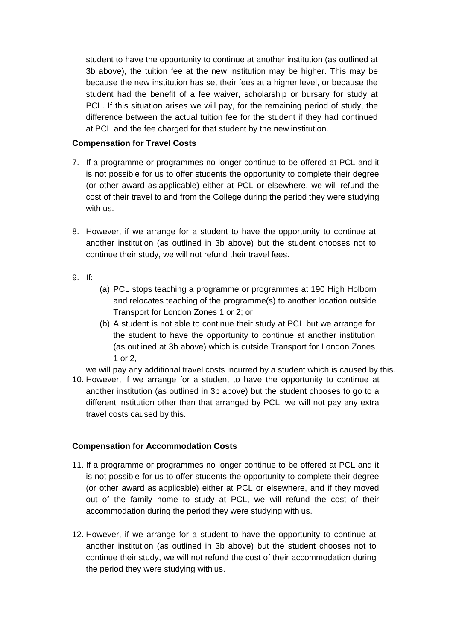student to have the opportunity to continue at another institution (as outlined at 3b above), the tuition fee at the new institution may be higher. This may be because the new institution has set their fees at a higher level, or because the student had the benefit of a fee waiver, scholarship or bursary for study at PCL. If this situation arises we will pay, for the remaining period of study, the difference between the actual tuition fee for the student if they had continued at PCL and the fee charged for that student by the new institution.

## **Compensation for Travel Costs**

- 7. If a programme or programmes no longer continue to be offered at PCL and it is not possible for us to offer students the opportunity to complete their degree (or other award as applicable) either at PCL or elsewhere, we will refund the cost of their travel to and from the College during the period they were studying with us.
- 8. However, if we arrange for a student to have the opportunity to continue at another institution (as outlined in 3b above) but the student chooses not to continue their study, we will not refund their travel fees.
- 9. If:
- (a) PCL stops teaching a programme or programmes at 190 High Holborn and relocates teaching of the programme(s) to another location outside Transport for London Zones 1 or 2; or
- (b) A student is not able to continue their study at PCL but we arrange for the student to have the opportunity to continue at another institution (as outlined at 3b above) which is outside Transport for London Zones 1 or 2,

we will pay any additional travel costs incurred by a student which is caused by this.

10. However, if we arrange for a student to have the opportunity to continue at another institution (as outlined in 3b above) but the student chooses to go to a different institution other than that arranged by PCL, we will not pay any extra travel costs caused by this.

# **Compensation for Accommodation Costs**

- 11. If a programme or programmes no longer continue to be offered at PCL and it is not possible for us to offer students the opportunity to complete their degree (or other award as applicable) either at PCL or elsewhere, and if they moved out of the family home to study at PCL, we will refund the cost of their accommodation during the period they were studying with us.
- 12. However, if we arrange for a student to have the opportunity to continue at another institution (as outlined in 3b above) but the student chooses not to continue their study, we will not refund the cost of their accommodation during the period they were studying with us.